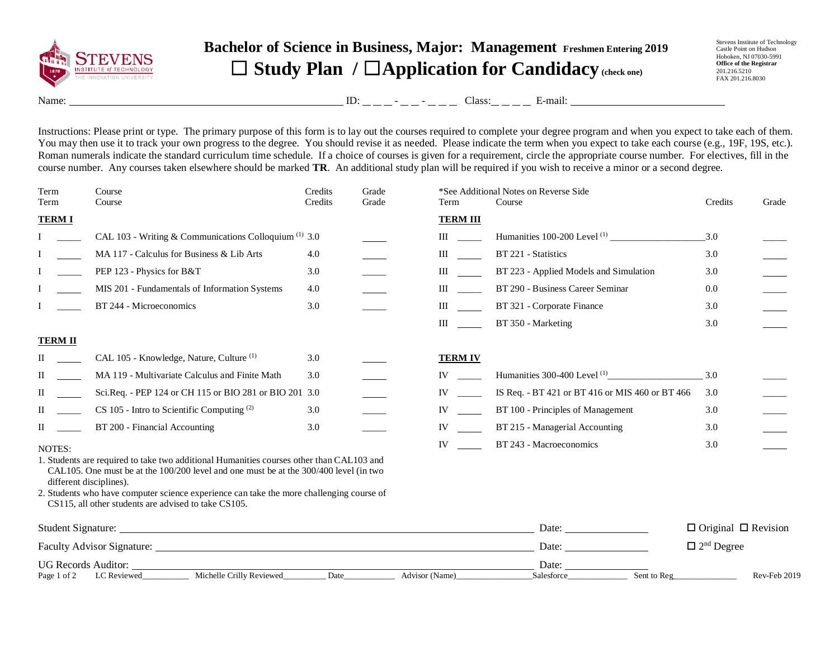

## **Bachelor of Science in Business, Major: Management Freshmen Entering 2019** ☐ **Study Plan /** ☐**Application for Candidacy (check one)**

Stevens Institute of Technology Castle Point on Hudson Hoboken, NJ 07030-5991 **Office of the Registrar** 201.216.5210 FAX 201.216.8030

Name: ID: - - Class: E-mail:

Instructions: Please print or type. The primary purpose of this form is to lay out the courses required to complete your degree program and when you expect to take each of them. You may then use it to track your own progress to the degree. You should revise it as needed. Please indicate the term when you expect to take each course (e.g., 19F, 19S, etc.). Roman numerals indicate the standard curriculum time schedule. If a choice of courses is given for a requirement, circle the appropriate course number. For electives, fill in the course number. Any courses taken elsewhere should be marked **TR**. An additional study plan will be required if you wish to receive a minor or a second degree.

| Term<br>Term               | Course<br>Course                                                                                                                                                                                             | Credits<br>Credits | Grade<br>Grade | Term            | *See Additional Notes on Reverse Side<br>Course | Credits                         | Grade |
|----------------------------|--------------------------------------------------------------------------------------------------------------------------------------------------------------------------------------------------------------|--------------------|----------------|-----------------|-------------------------------------------------|---------------------------------|-------|
| <b>TERMI</b>               |                                                                                                                                                                                                              |                    |                | <b>TERM III</b> |                                                 |                                 |       |
|                            | CAL 103 - Writing & Communications Colloquium <sup>(1)</sup> 3.0                                                                                                                                             |                    |                | III             |                                                 | 3.0                             |       |
|                            | MA 117 - Calculus for Business & Lib Arts                                                                                                                                                                    | 4.0                |                | Ш               | BT 221 - Statistics                             | 3.0                             |       |
|                            | PEP 123 - Physics for B&T                                                                                                                                                                                    | 3.0                |                | Ш               | BT 223 - Applied Models and Simulation          | 3.0                             |       |
|                            | MIS 201 - Fundamentals of Information Systems                                                                                                                                                                | 4.0                |                | Ш               | BT 290 - Business Career Seminar                | 0.0                             |       |
|                            | BT 244 - Microeconomics                                                                                                                                                                                      | 3.0                |                | Ш               | BT 321 - Corporate Finance                      | 3.0                             |       |
|                            |                                                                                                                                                                                                              |                    |                | Ш               | BT 350 - Marketing                              | 3.0                             |       |
| <b>TERM II</b>             |                                                                                                                                                                                                              |                    |                |                 |                                                 |                                 |       |
| П                          | CAL 105 - Knowledge, Nature, Culture <sup>(1)</sup>                                                                                                                                                          | 3.0                |                | <b>TERM IV</b>  |                                                 |                                 |       |
| П                          | MA 119 - Multivariate Calculus and Finite Math                                                                                                                                                               | 3.0                |                | IV              |                                                 | 3.0                             |       |
| П                          | Sci.Req. - PEP 124 or CH 115 or BIO 281 or BIO 201 3.0                                                                                                                                                       |                    |                | IV              | IS Req. - BT 421 or BT 416 or MIS 460 or BT 466 | 3.0                             |       |
| П                          | $CS$ 105 - Intro to Scientific Computing $(2)$                                                                                                                                                               | 3.0                |                | IV              | BT 100 - Principles of Management               | 3.0                             |       |
| H                          | BT 200 - Financial Accounting                                                                                                                                                                                | 3.0                |                | IV              | BT 215 - Managerial Accounting                  | 3.0                             |       |
| NOTES:                     |                                                                                                                                                                                                              |                    |                | IV              | BT 243 - Macroeconomics                         | 3.0                             |       |
|                            | 1. Students are required to take two additional Humanities courses other than CAL103 and<br>CAL105. One must be at the 100/200 level and one must be at the 300/400 level (in two<br>different disciplines). |                    |                |                 |                                                 |                                 |       |
|                            | 2. Students who have computer science experience can take the more challenging course of<br>CS115, all other students are advised to take CS105.                                                             |                    |                |                 |                                                 |                                 |       |
|                            |                                                                                                                                                                                                              |                    |                |                 | Date:                                           | $\Box$ Original $\Box$ Revision |       |
|                            |                                                                                                                                                                                                              |                    |                |                 | Date:                                           | $\Box$ 2 <sup>nd</sup> Degree   |       |
| <b>UG Records Auditor:</b> |                                                                                                                                                                                                              |                    |                |                 | Date:                                           |                                 |       |

Page 1 of 2 LC Reviewed\_\_\_\_\_\_\_\_\_\_\_ Michelle Crilly Reviewed\_\_\_\_\_\_\_\_\_\_ Date\_\_\_\_\_\_\_\_\_\_\_\_ Advisor (Name)\_\_\_\_\_\_\_\_\_\_\_\_\_\_\_\_\_\_Salesforce\_\_\_\_\_\_\_\_\_\_\_\_\_\_ Sent to Reg\_\_\_\_\_\_\_\_\_\_\_\_\_\_\_ Rev-Feb 2019